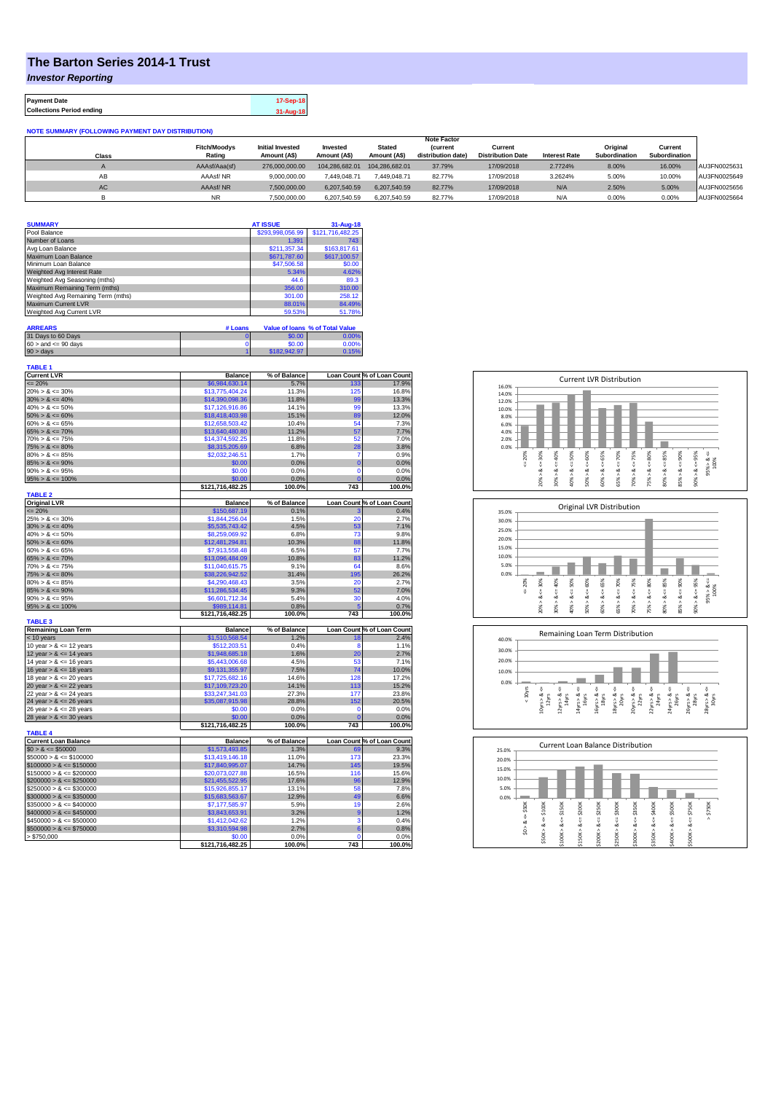## **The Barton Series 2014-1 Trust**

*Investor Reporting*

**Payment Date 17-Sep-18 Collections Period ending 31-Aug-18**

| <b>NOTE SUMMARY (FOLLOWING PAYMENT DAY DISTRIBUTION)</b> |                     |                         |                |                |                    |                          |                      |               |               |              |
|----------------------------------------------------------|---------------------|-------------------------|----------------|----------------|--------------------|--------------------------|----------------------|---------------|---------------|--------------|
|                                                          | <b>Note Factor</b>  |                         |                |                |                    |                          |                      |               |               |              |
|                                                          | <b>Fitch/Moodys</b> | <b>Initial Invested</b> | Invested       | <b>Stated</b>  | <b>(current</b>    | Current                  |                      | Original      | Current       |              |
| Class                                                    | Rating              | Amount (A\$)            | Amount (A\$)   | Amount (A\$)   | distribution date) | <b>Distribution Date</b> | <b>Interest Rate</b> | Subordination | Subordination |              |
|                                                          | AAAsf/Aaa(sf)       | 276,000,000,00          | 104.286.682.01 | 104.286.682.01 | 37.79%             | 17/09/2018               | 2.7724%              | 8.00%         | 16.00%        | AU3FN0025631 |
| AB                                                       | AAAsf/NR            | 9.000.000.00            | 7.449.048.71   | 7.449.048.71   | 82.77%             | 17/09/2018               | 3.2624%              | 5.00%         | 10.00%        | AU3FN0025649 |
| AC                                                       | AAAsf/NR            | 7.500.000.00            | 6.207.540.59   | 6.207.540.59   | 82.77%             | 17/09/2018               | N/A                  | 2.50%         | 5.00%         | AU3FN0025656 |
|                                                          | <b>NR</b>           | 7.500.000.00            | 6.207.540.59   | 6.207.540.59   | 82.77%             | 17/09/2018               | N/A                  | 0.00%         | 0.00%         | AU3FN0025664 |

| <b>SUMMARY</b>                     | <b>AT ISSUE</b>  | $31 - Aug - 18$                 |
|------------------------------------|------------------|---------------------------------|
| Pool Balance                       | \$293,998,056.99 | \$121,716,482.25                |
| Number of Loans                    | 1.391            | 743                             |
| Avg Loan Balance                   | \$211.357.34     | \$163,817.61                    |
| Maximum Loan Balance               | \$671,787.60     | \$617,100.57                    |
| Minimum Loan Balance               | \$47,506.58      | \$0.00                          |
| Weighted Avg Interest Rate         | 5.34%            | 4.62%                           |
| Weighted Avg Seasoning (mths)      | 44.6             | 89.3                            |
| Maximum Remaining Term (mths)      | 356.00           | 310.00                          |
| Weighted Avg Remaining Term (mths) | 301.00           | 258.12                          |
| <b>Maximum Current LVR</b>         | 88.01%           | 84.49%                          |
| Weighted Avg Current LVR           | 59.53%           | 51.78%                          |
| <b>ARREARS</b><br># Loans          |                  | Value of Ioans % of Total Value |

| 31 Days to 60 Days        | 60.00        |       |
|---------------------------|--------------|-------|
| $60 >$ and $\leq 90$ days | \$0.00       | 0.00% |
| $90 >$ days               | \$182,942.97 | 0.15% |
|                           |              |       |
| TARLE <sub>1</sub>        |              |       |

| .                           |                  |              |             |                                                                                                                  |
|-----------------------------|------------------|--------------|-------------|------------------------------------------------------------------------------------------------------------------|
| <b>Current LVR</b>          | <b>Balance</b>   | % of Balance |             | Loan Count % of Loan Count                                                                                       |
| $= 20%$                     | \$6.984.630.14   | 5.7%         | 133         | 17.9%                                                                                                            |
| $20\% > 8 \le 30\%$         | \$13,775,404.24  | 11.3%        | 125         | 16.8%                                                                                                            |
| $30\% > 8 \le 40\%$         | \$14,390,098.36  | 11.8%        | 99          | 13.3%                                                                                                            |
| $40\% > 8 \le 50\%$         | \$17,126,916.86  | 14.1%        | 99          | 13.3%                                                                                                            |
| $50\% > 8 \le 60\%$         | \$18,418,403.98  | 15.1%        | 89          | 12.0%                                                                                                            |
| $60\% > 8 \le 65\%$         | \$12,658,503.42  | 10.4%        | 54          | 7.3%                                                                                                             |
| $65\% > 8 \le 70\%$         | \$13,640,480.80  | 11.2%        | 57          | 7.7%                                                                                                             |
| $70\% > 8 \le 75\%$         | \$14,374,592.25  | 11.8%        | 52          | 7.0%                                                                                                             |
| $75\% > 8 \le 80\%$         | \$8,315,205.69   | 6.8%         | 28          | 3.8%                                                                                                             |
| $80\% > 8 \le 85\%$         | \$2,032,246.51   | 1.7%         | 7           | 0.9%                                                                                                             |
| $85\% > 8 \le 90\%$         | \$0.00           | 0.0%         | $\mathbf 0$ | 0.0%                                                                                                             |
| $90\% > 8 \le 95\%$         | \$0.00           | 0.0%         | $\mathbf 0$ | 0.0%                                                                                                             |
| $95\% > 8 \le 100\%$        | \$0.00           | 0.0%         | C           | 0.0%                                                                                                             |
|                             | \$121,716,482.25 | 100.0%       | 743         | 100.0%                                                                                                           |
| <b>TABLE 2</b>              |                  |              |             |                                                                                                                  |
| <b>Original LVR</b>         | <b>Balance</b>   | % of Balance |             | Loan Count % of Loan Count                                                                                       |
| $= 20%$                     | \$150,687.19     | 0.1%         |             | 0.4%                                                                                                             |
| $25\% > 8 \le 30\%$         | \$1,844,256.04   | 1.5%         | 20          | 2.7%                                                                                                             |
| $30\% > 8 \le 40\%$         | \$5,535,743.42   | 4.5%         | 53          | 7.1%                                                                                                             |
| $40\% > 8 \le 50\%$         | \$8,259,069.92   | 6.8%         | 73          | 9.8%                                                                                                             |
| $50\% > 8 \le 60\%$         | \$12,481,294.81  | 10.3%        | 88          | 11.8%                                                                                                            |
| $60\% > 8 \le 65\%$         | \$7,913,558.48   | 6.5%         | 57          | 7.7%                                                                                                             |
| $65\% > 8 \le 70\%$         | \$13,096,484.09  | 10.8%        | 83          | 11.2%                                                                                                            |
| $70\% > 8 \le 75\%$         | \$11,040,615.75  | 9.1%         | 64          | 8.6%                                                                                                             |
| $75\% > 8 \le 80\%$         | \$38,226,942.52  | 31.4%        | 195         | 26.2%                                                                                                            |
| $80\% > 8 \le 85\%$         | \$4,290,468,43   | 3.5%         | 20          | 2.7%                                                                                                             |
| $85\% > 8 \le 90\%$         | \$11,286,534.45  | 9.3%         | 52          | 7.0%                                                                                                             |
| $90\% > 8 \le 95\%$         | \$6,601,712.34   | 5.4%         | 30          | 4.0%                                                                                                             |
| $95\% > 8 \le 100\%$        | \$989,114.81     | 0.8%         |             | 0.7%                                                                                                             |
|                             | \$121,716,482.25 | 100.0%       | 743         | 100.0%                                                                                                           |
| <b>TABLE 3</b>              |                  |              |             |                                                                                                                  |
| <b>Remaining Loan Term</b>  | <b>Balance</b>   | % of Balance |             | Loan Count % of Loan Count                                                                                       |
| < 10 years                  | \$1,510,568.54   | 1.2%         | 18          | 2.4%                                                                                                             |
| 10 year $> 8 \le 12$ years  | \$512,203.51     | 0.4%         | 8           | 1.1%                                                                                                             |
| 12 year $> 8 \le 14$ years  | \$1,948,685.18   | 1.6%         | 20          | 2.7%                                                                                                             |
| 14 year $> 8 \le 16$ years  | \$5,443,006.68   | 4.5%         | 53          | 7.1%                                                                                                             |
| 16 year $> 8 \le 18$ years  |                  |              |             |                                                                                                                  |
|                             | \$9,131,355.97   | 7.5%         | 74          |                                                                                                                  |
| 18 year $> 8 \le 20$ years  | \$17,725,682.16  | 14.6%        | 128         |                                                                                                                  |
| 20 year $> 8 \le 22$ years  | \$17,109,723.20  | 14.1%        | 113         |                                                                                                                  |
| 22 year $> 8 \le 24$ years  | \$33,247,341.03  | 27.3%        | 177         |                                                                                                                  |
| 24 year $> 8 \le 26$ years  | \$35,087,915.98  | 28.8%        | 152         |                                                                                                                  |
| 26 year $> 8 \le 28$ years  | \$0.00           | 0.0%         | $\Omega$    |                                                                                                                  |
| 28 year $> 8 \le 30$ years  | \$0.00           | 0.0%         | O           | 10.0%<br>17.2%<br>15.2%<br>23.8%<br>20.5%<br>0.0%<br>0.0%                                                        |
|                             | \$121,716,482.25 | 100.0%       | 743         |                                                                                                                  |
| <b>TABLE 4</b>              |                  |              |             |                                                                                                                  |
| <b>Current Loan Balance</b> | <b>Balance</b>   | % of Balance |             |                                                                                                                  |
| $$0 > 8 \le $50000$         | \$1,573,493.85   | 1.3%         | 69          |                                                                                                                  |
| $$50000 > 8 \le $100000$    | \$13,419,146.18  | 11.0%        | 173         |                                                                                                                  |
| $$100000 > 8 \le $150000$   | \$17,840,995.07  | 14.7%        | 145         |                                                                                                                  |
| $$150000 > 8 \leq $200000$  | \$20,073,027.88  | 16.5%        | 116         |                                                                                                                  |
| $$200000 > 8 \leq $250000$  | \$21,455,522.95  | 17.6%        | 96          |                                                                                                                  |
| $$250000 > 8 \leq $300000$  | \$15,926,855.17  | 13.1%        | 58          |                                                                                                                  |
| $$300000 > 8 \leq $350000$  | \$15,683,563.67  | 12.9%        | 49          |                                                                                                                  |
| $$350000 > 8 \le $400000$   | \$7,177,585.97   | 5.9%         | 19          |                                                                                                                  |
| $$400000 > 8 \le $450000$   | \$3,843,653.91   | 3.2%         | 9           | 100.0%<br>Loan Count % of Loan Count<br>9.3%<br>23.3%<br>19.5%<br>15.6%<br>12.9%<br>7.8%<br>6.6%<br>2.6%<br>1.2% |
| $$450000 > 8 \le $500000$   | \$1,412,042.62   | 1.2%         | 3           |                                                                                                                  |
| $$500000 > 8 \le $750000$   | \$3,310,594.98   | 2.7%         | 6           |                                                                                                                  |
| > \$750,000                 | \$0.00           | 0.0%         | $\Omega$    | 0.4%<br>0.8%<br>0.0%<br>100.0%                                                                                   |







| 25.0% |              |                 | <b>Current Loan Balance Distribution</b> |                  |                  |              |                  |             |                  |              |             |
|-------|--------------|-----------------|------------------------------------------|------------------|------------------|--------------|------------------|-------------|------------------|--------------|-------------|
| 20.0% |              |                 |                                          |                  |                  |              |                  |             |                  |              |             |
| 15.0% |              |                 |                                          |                  |                  |              |                  |             |                  |              |             |
| 10.0% |              |                 |                                          |                  |                  |              |                  |             |                  |              |             |
| 5.0%  |              |                 |                                          |                  |                  |              |                  |             |                  |              |             |
| 0.0%  |              |                 |                                          |                  |                  |              |                  |             |                  |              |             |
|       | \$50K<br>ő   | \$100K          | \$150K<br>ű                              | \$200K<br>V      | \$250K<br>п<br>ÿ | \$300K<br>ű  | \$350K           | $4 = $400K$ | \$500K           | \$750K<br>V  | \$750K<br>٨ |
|       | త<br>Λ<br>S. | ಯ<br>٨<br>\$50K | œ<br>Λ<br>\$100K                         | ∞<br>٨<br>\$150K | œ<br>۸<br>\$200K | ∞<br>\$250K> | œ<br>Λ<br>\$300K | ∞<br>\$350K | œ<br>л<br>\$400K | ∞<br>\$500K> |             |